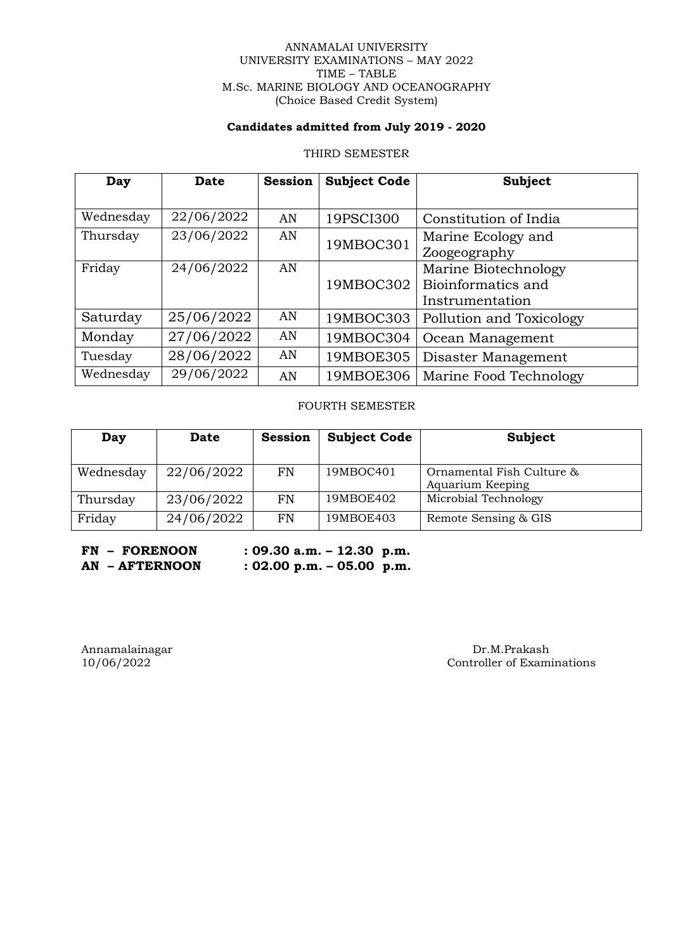### ANNAMALAI UNIVERSITY UNIVERSITY EXAMINATIONS – MAY 2022 TIME – TABLE M.Sc. MARINE BIOLOGY AND OCEANOGRAPHY (Choice Based Credit System)

## **Candidates admitted from July 2019 - 2020**

### THIRD SEMESTER

| Day       | <b>Date</b> | <b>Session</b> | <b>Subject Code</b> | <b>Subject</b>           |
|-----------|-------------|----------------|---------------------|--------------------------|
|           |             |                |                     |                          |
| Wednesday | 22/06/2022  | AN             | 19PSCI300           | Constitution of India    |
| Thursday  | 23/06/2022  | AN             | 19MBOC301           | Marine Ecology and       |
|           |             |                |                     | Zoogeography             |
| Friday    | 24/06/2022  | AN             |                     | Marine Biotechnology     |
|           |             |                | 19MBOC302           | Bioinformatics and       |
|           |             |                |                     | Instrumentation          |
| Saturday  | 25/06/2022  | AN             | 19MBOC303           | Pollution and Toxicology |
| Monday    | 27/06/2022  | AN             | 19MBOC304           | Ocean Management         |
| Tuesday   | 28/06/2022  | AN             | 19MBOE305           | Disaster Management      |
| Wednesday | 29/06/2022  | AN             | 19MBOE306           | Marine Food Technology   |

FOURTH SEMESTER

| Day       | <b>Date</b> | <b>Session</b> | <b>Subject Code</b> | Subject                                       |
|-----------|-------------|----------------|---------------------|-----------------------------------------------|
| Wednesday | 22/06/2022  | <b>FN</b>      | 19MBOC401           | Ornamental Fish Culture &<br>Aquarium Keeping |
| Thursday  | 23/06/2022  | <b>FN</b>      | 19MBOE402           | Microbial Technology                          |
| Friday    | 24/06/2022  | <b>FN</b>      | 19MBOE403           | Remote Sensing & GIS                          |

**FN – FORENOON : 09.30 a.m. – 12.30 p.m. AN – AFTERNOON : 02.00 p.m. – 05.00 p.m.**

Annamalainagar Dr.M.Prakash Dr.M.Prakash Dr.M.Prakash Dr.M.Prakash Dr.M.Prakash Dr.M.Prakash Dr.M.Prakash Dr.M.Prakash Dr.M.Prakash Dr.M.Prakash Dr.M.Prakash Dr.M.Prakash Dr.M.Prakash Dr.M.Prakash Dr.M.Prakash Dr.M.Prakash Controller of Examinations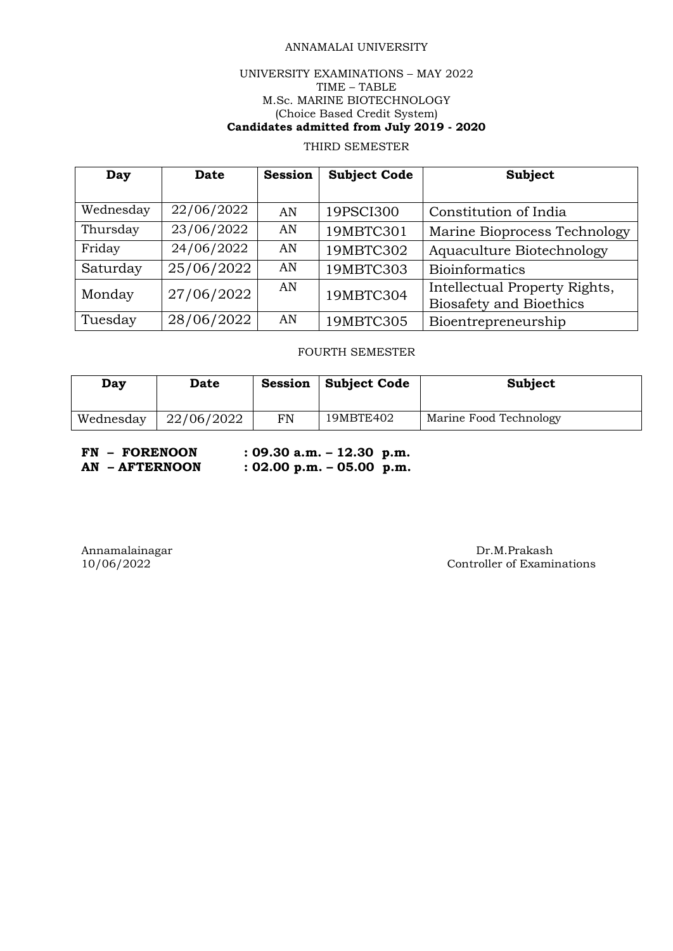# ANNAMALAI UNIVERSITY

## UNIVERSITY EXAMINATIONS – MAY 2022 TIME – TABLE M.Sc. MARINE BIOTECHNOLOGY (Choice Based Credit System) **Candidates admitted from July 2019 - 2020**

# THIRD SEMESTER

| Day       | Date       | <b>Session</b> | <b>Subject Code</b> | Subject                                                         |
|-----------|------------|----------------|---------------------|-----------------------------------------------------------------|
|           |            |                |                     |                                                                 |
| Wednesday | 22/06/2022 | AN             | 19PSCI300           | Constitution of India                                           |
| Thursday  | 23/06/2022 | AN             | 19MBTC301           | Marine Bioprocess Technology                                    |
| Friday    | 24/06/2022 | AN             | 19MBTC302           | Aquaculture Biotechnology                                       |
| Saturday  | 25/06/2022 | AN             | 19MBTC303           | <b>Bioinformatics</b>                                           |
| Monday    | 27/06/2022 | AN             | 19MBTC304           | Intellectual Property Rights,<br><b>Biosafety and Bioethics</b> |
| Tuesday   | 28/06/2022 | AN             | 19MBTC305           | Bioentrepreneurship                                             |

### FOURTH SEMESTER

| Day       | <b>Date</b> | Session | Subject Code | Subject                |
|-----------|-------------|---------|--------------|------------------------|
| Wednesday | 22/06/2022  | FN      | 19MBTE402    | Marine Food Technology |

**FN – FORENOON : 09.30 a.m. – 12.30 p.m.**

**AN – AFTERNOON : 02.00 p.m. – 05.00 p.m.**

Annamalainagar Dr.M.Prakash Dr.M.Prakash Dr.M.Prakash Dr.M.Prakash Dr.M.Prakash Dr.M.Prakash Dr.M.Prakash Dr.M. Controller of Examinations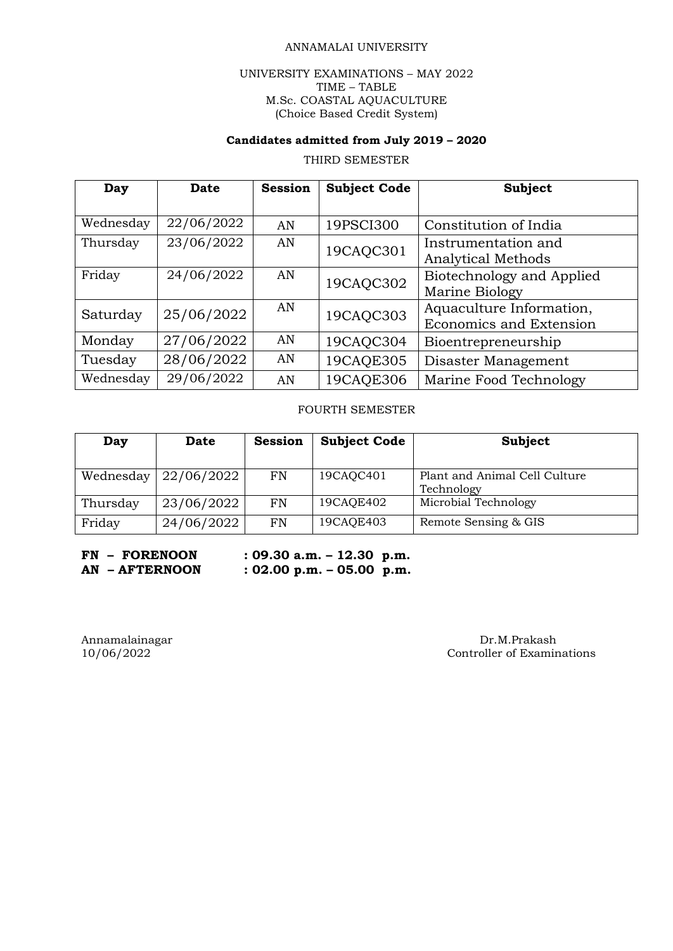### ANNAMALAI UNIVERSITY

### UNIVERSITY EXAMINATIONS – MAY 2022 TIME – TABLE M.Sc. COASTAL AQUACULTURE (Choice Based Credit System)

## **Candidates admitted from July 2019 – 2020**

# THIRD SEMESTER

| Day       | <b>Date</b> | <b>Session</b> | <b>Subject Code</b> | <b>Subject</b>                 |
|-----------|-------------|----------------|---------------------|--------------------------------|
|           |             |                |                     |                                |
| Wednesday | 22/06/2022  | AN             | 19PSCI300           | Constitution of India          |
| Thursday  | 23/06/2022  | AN             | 19CAQC301           | Instrumentation and            |
|           |             |                |                     | <b>Analytical Methods</b>      |
| Friday    | 24/06/2022  | AN             | 19CAQC302           | Biotechnology and Applied      |
|           |             |                |                     | Marine Biology                 |
| Saturday  | 25/06/2022  | AN             |                     | Aquaculture Information,       |
|           |             |                | 19CAQC303           | <b>Economics and Extension</b> |
| Monday    | 27/06/2022  | AN             | 19CAQC304           | Bioentrepreneurship            |
| Tuesday   | 28/06/2022  | AN             | 19CAQE305           | Disaster Management            |
| Wednesday | 29/06/2022  | AN             | 19CAQE306           | Marine Food Technology         |

### FOURTH SEMESTER

| Day       | <b>Date</b> | <b>Session</b> | <b>Subject Code</b> | Subject                                     |
|-----------|-------------|----------------|---------------------|---------------------------------------------|
| Wednesday | 22/06/2022  | <b>FN</b>      | 19CAQC401           | Plant and Animal Cell Culture<br>Technology |
| Thursday  | 23/06/2022  | <b>FN</b>      | 19CAQE402           | Microbial Technology                        |
| Friday    | 24/06/2022  | <b>FN</b>      | 19CAQE403           | Remote Sensing & GIS                        |

**FN – FORENOON : 09.30 a.m. – 12.30 p.m. AN – AFTERNOON : 02.00 p.m. – 05.00 p.m.**

# Annamalainagar Dr.M.Prakash Dr.M.Prakash Dr.M.Prakash Dr.M.Prakash Dr.M.Prakash Dr.M.Prakash Dr.M.Prakash Dr.M. Controller of Examinations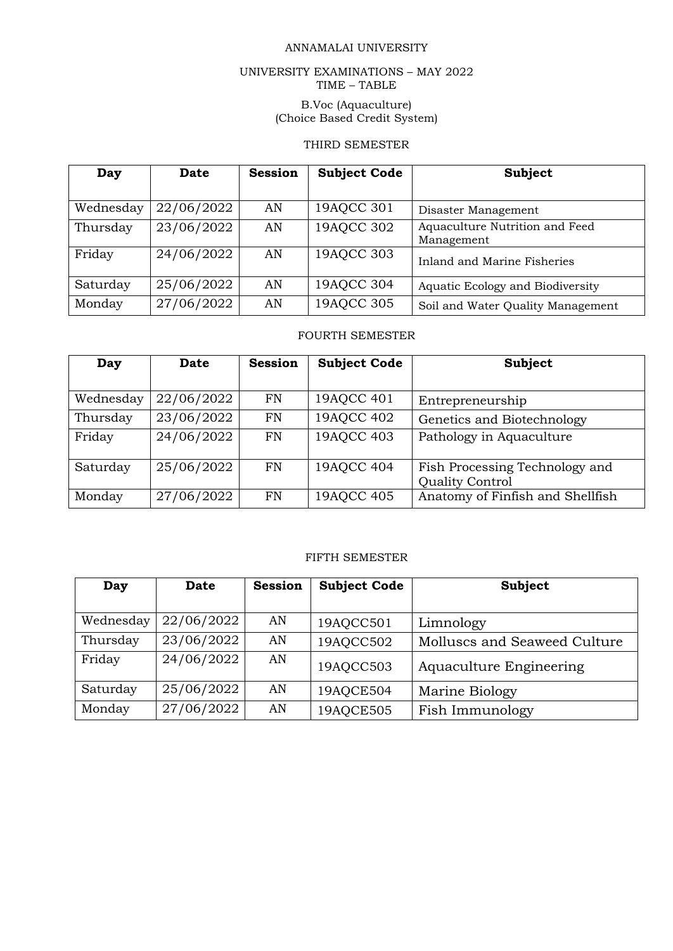## ANNAMALAI UNIVERSITY

### UNIVERSITY EXAMINATIONS – MAY 2022 TIME – TABLE

### B.Voc (Aquaculture) (Choice Based Credit System)

# THIRD SEMESTER

| Day       | <b>Date</b> | <b>Session</b> | <b>Subject Code</b> | Subject                                      |
|-----------|-------------|----------------|---------------------|----------------------------------------------|
| Wednesday | 22/06/2022  | AN             | 19AQCC 301          | Disaster Management                          |
| Thursday  | 23/06/2022  | AN             | 19AQCC 302          | Aquaculture Nutrition and Feed<br>Management |
| Friday    | 24/06/2022  | AN             | 19AQCC 303          | Inland and Marine Fisheries                  |
| Saturday  | 25/06/2022  | AN             | 19AQCC 304          | Aquatic Ecology and Biodiversity             |
| Monday    | 27/06/2022  | AN             | 19AQCC 305          | Soil and Water Quality Management            |

### FOURTH SEMESTER

| Day       | <b>Date</b> | <b>Session</b> | <b>Subject Code</b> | Subject                          |
|-----------|-------------|----------------|---------------------|----------------------------------|
|           |             |                |                     |                                  |
| Wednesday | 22/06/2022  | FN             | 19AQCC 401          | Entrepreneurship                 |
| Thursday  | 23/06/2022  | FN             | 19AQCC 402          | Genetics and Biotechnology       |
| Friday    | 24/06/2022  | FN             | 19AQCC 403          | Pathology in Aquaculture         |
|           |             |                |                     |                                  |
| Saturday  | 25/06/2022  | FN             | 19AQCC 404          | Fish Processing Technology and   |
|           |             |                |                     | Quality Control                  |
| Monday    | 27/06/2022  | FN             | 19AQCC 405          | Anatomy of Finfish and Shellfish |

# FIFTH SEMESTER

| Day       | Date       | <b>Session</b> | <b>Subject Code</b> | Subject                      |
|-----------|------------|----------------|---------------------|------------------------------|
|           |            |                |                     |                              |
| Wednesday | 22/06/2022 | AN             | 19AQCC501           | Limnology                    |
| Thursday  | 23/06/2022 | AN             | 19AQCC502           | Molluscs and Seaweed Culture |
| Friday    | 24/06/2022 | AN             | 19AQCC503           | Aquaculture Engineering      |
| Saturday  | 25/06/2022 | AN             | 19AQCE504           | Marine Biology               |
| Monday    | 27/06/2022 | AN             | 19AQCE505           | Fish Immunology              |